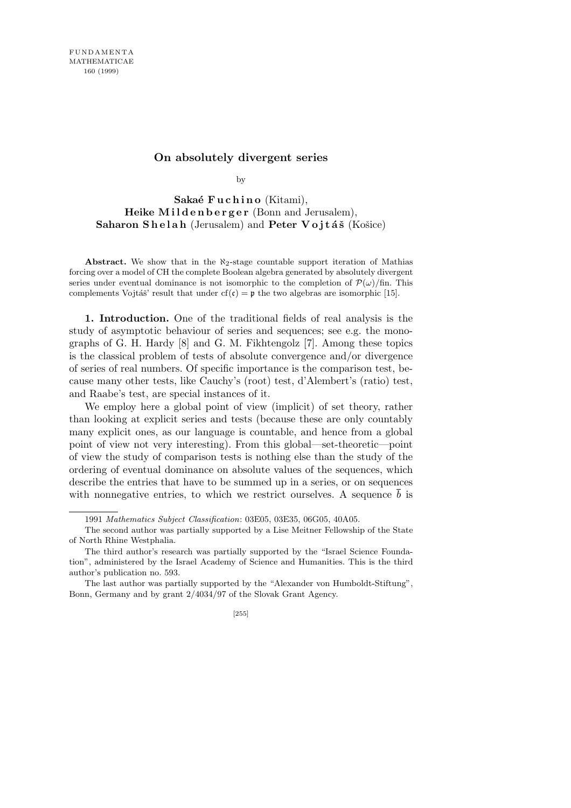## **On absolutely divergent series**

by

Sakaé Fuchino (Kitami), **Heike Mildenberger** (Bonn and Jerusalem), **Saharon Shelah** (Jerusalem) and **Peter Vojtáš** (Košice)

Abstract. We show that in the  $\aleph_2$ -stage countable support iteration of Mathias forcing over a model of CH the complete Boolean algebra generated by absolutely divergent series under eventual dominance is not isomorphic to the completion of  $\mathcal{P}(\omega)/\text{fin}$ . This complements Vojtáš' result that under cf(c) = p the two algebras are isomorphic [15].

**1. Introduction.** One of the traditional fields of real analysis is the study of asymptotic behaviour of series and sequences; see e.g. the monographs of G. H. Hardy [8] and G. M. Fikhtengolz [7]. Among these topics is the classical problem of tests of absolute convergence and/or divergence of series of real numbers. Of specific importance is the comparison test, because many other tests, like Cauchy's (root) test, d'Alembert's (ratio) test, and Raabe's test, are special instances of it.

We employ here a global point of view (implicit) of set theory, rather than looking at explicit series and tests (because these are only countably many explicit ones, as our language is countable, and hence from a global point of view not very interesting). From this global—set-theoretic—point of view the study of comparison tests is nothing else than the study of the ordering of eventual dominance on absolute values of the sequences, which describe the entries that have to be summed up in a series, or on sequences with nonnegative entries, to which we restrict ourselves. A sequence *b* is

<sup>1991</sup> *Mathematics Subject Classification*: 03E05, 03E35, 06G05, 40A05.

The second author was partially supported by a Lise Meitner Fellowship of the State of North Rhine Westphalia.

The third author's research was partially supported by the "Israel Science Foundation", administered by the Israel Academy of Science and Humanities. This is the third author's publication no. 593.

The last author was partially supported by the "Alexander von Humboldt-Stiftung", Bonn, Germany and by grant 2/4034/97 of the Slovak Grant Agency.

<sup>[255]</sup>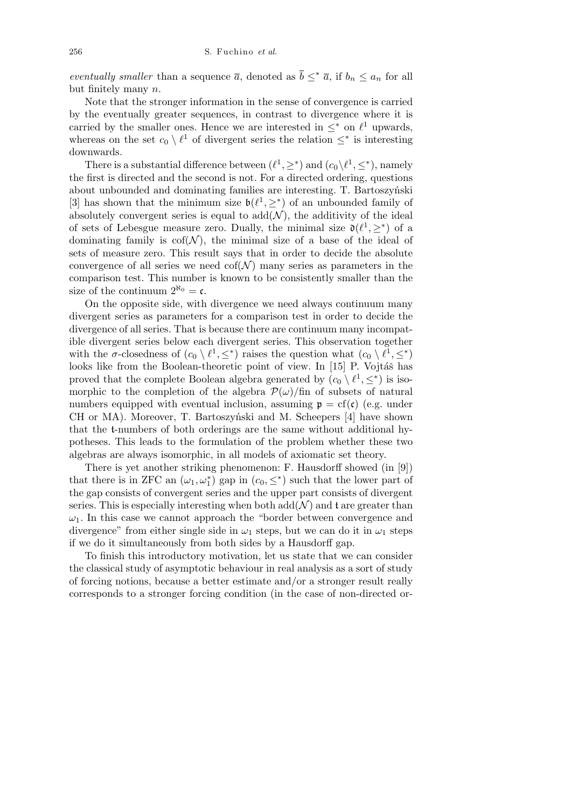*eventually smaller* than a sequence  $\overline{a}$ , denoted as  $\overline{b} \leq^* \overline{a}$ , if  $b_n \leq a_n$  for all but finitely many *n*.

Note that the stronger information in the sense of convergence is carried by the eventually greater sequences, in contrast to divergence where it is carried by the smaller ones. Hence we are interested in  $\leq^*$  on  $\ell^1$  upwards, whereas on the set  $c_0 \setminus \ell^1$  of divergent series the relation  $\leq^*$  is interesting downwards.

There is a substantial difference between  $(\ell^1, \geq^*)$  and  $(c_0 \setminus \ell^1, \leq^*)$ , namely the first is directed and the second is not. For a directed ordering, questions about unbounded and dominating families are interesting. T. Bartoszyński [3] has shown that the minimum size  $\mathfrak{b}(\ell^1, \geq^*)$  of an unbounded family of absolutely convergent series is equal to  $add(\mathcal{N})$ , the additivity of the ideal of sets of Lebesgue measure zero. Dually, the minimal size  $\mathfrak{d}(\ell^1, \geq^*)$  of a dominating family is  $\text{cof}(\mathcal{N})$ , the minimal size of a base of the ideal of sets of measure zero. This result says that in order to decide the absolute convergence of all series we need  $\text{cof}(\mathcal{N})$  many series as parameters in the comparison test. This number is known to be consistently smaller than the size of the continuum  $2^{\aleph_0} = \mathfrak{c}$ .

On the opposite side, with divergence we need always continuum many divergent series as parameters for a comparison test in order to decide the divergence of all series. That is because there are continuum many incompatible divergent series below each divergent series. This observation together with the *σ*-closedness of  $(c_0 \setminus \ell^1, \leq^*)$  raises the question what  $(c_0 \setminus \ell^1, \leq^*)$ looks like from the Boolean-theoretic point of view. In [15] P. Vojtáš has proved that the complete Boolean algebra generated by  $(c_0 \setminus \ell^1, \leq^*)$  is isomorphic to the completion of the algebra  $\mathcal{P}(\omega)/\text{fin}$  of subsets of natural numbers equipped with eventual inclusion, assuming  $\mathfrak{p} = cf(c)$  (e.g. under CH or MA). Moreover, T. Bartoszyński and M. Scheepers [4] have shown that the t-numbers of both orderings are the same without additional hypotheses. This leads to the formulation of the problem whether these two algebras are always isomorphic, in all models of axiomatic set theory.

There is yet another striking phenomenon: F. Hausdorff showed (in [9]) that there is in ZFC an  $(\omega_1, \omega_1^*)$  gap in  $(c_0, \leq^*)$  such that the lower part of the gap consists of convergent series and the upper part consists of divergent series. This is especially interesting when both  $\text{add}(\mathcal{N})$  and t are greater than  $\omega_1$ . In this case we cannot approach the "border between convergence and divergence" from either single side in  $\omega_1$  steps, but we can do it in  $\omega_1$  steps if we do it simultaneously from both sides by a Hausdorff gap.

To finish this introductory motivation, let us state that we can consider the classical study of asymptotic behaviour in real analysis as a sort of study of forcing notions, because a better estimate and/or a stronger result really corresponds to a stronger forcing condition (in the case of non-directed or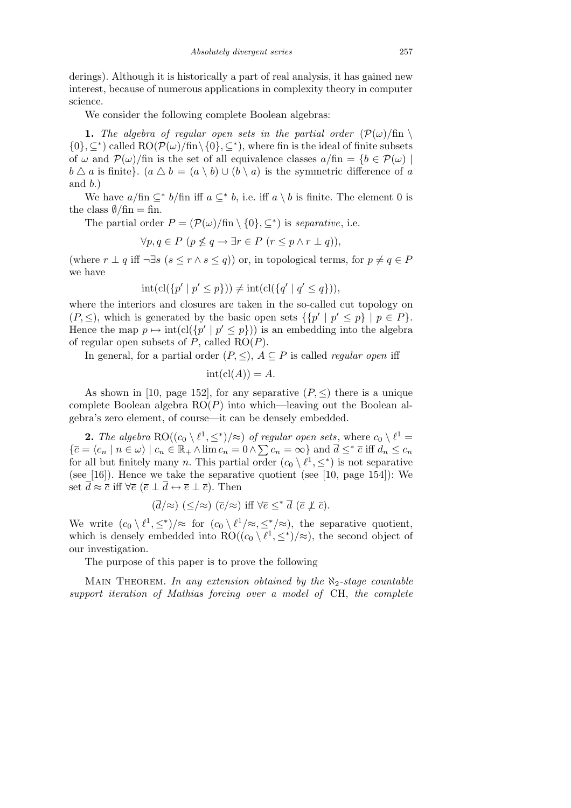derings). Although it is historically a part of real analysis, it has gained new interest, because of numerous applications in complexity theory in computer science.

We consider the following complete Boolean algebras:

**1.** The algebra of regular open sets in the partial order  $(\mathcal{P}(\omega)/\text{fin})$  $\{0\}$ ,  $\subseteq$ <sup>\*</sup>) called RO( $\mathcal{P}(\omega)$ /fin $\setminus$ {0},  $\subseteq$ <sup>\*</sup>), where fin is the ideal of finite subsets of  $\omega$  and  $\mathcal{P}(\omega)$ /fin is the set of all equivalence classes  $a/\text{fin} = \{b \in \mathcal{P}(\omega) \mid \omega \in \mathcal{P}(\omega) \}$  $b \triangle a$  is finite}. ( $a \triangle b = (a \setminus b) \cup (b \setminus a)$  is the symmetric difference of *a* and *b*.)

We have  $a/\text{fin } \subseteq^* b/\text{fin } \text{ iff } a \subseteq^* b$ , i.e. iff  $a \setminus b$  is finite. The element 0 is the class  $\theta$ /fin = fin.

The partial order  $P = (\mathcal{P}(\omega)/\text{fin} \setminus \{0\}, \subseteq^*)$  is *separative*, i.e.

$$
\forall p, q \in P \ (p \nleq q \rightarrow \exists r \in P \ (r \leq p \land r \perp q)),
$$

(where  $r \perp q$  iff  $\neg \exists s \ (s \leq r \land s \leq q)$ ) or, in topological terms, for  $p \neq q \in P$ we have

$$
int(cl(\lbrace p' | p' \le p \rbrace)) \neq int(cl(\lbrace q' | q' \le q \rbrace)),
$$

where the interiors and closures are taken in the so-called cut topology on  $(P, \leq)$ , which is generated by the basic open sets  $\{ \{p' \mid p' \leq p\} \mid p \in P \}.$ Hence the map  $p \mapsto \text{int}(\text{cl}(\{p' \mid p' \leq p\}))$  is an embedding into the algebra of regular open subsets of *P*, called RO(*P*).

In general, for a partial order  $(P, \leq), A \subseteq P$  is called *regular open* iff

$$
int(cl(A)) = A.
$$

As shown in [10, page 152], for any separative  $(P, \leq)$  there is a unique complete Boolean algebra RO(*P*) into which—leaving out the Boolean algebra's zero element, of course—it can be densely embedded.

**2.** *The algebra*  $RO((c_0 \setminus \ell^1, \leq^*)/\approx)$  *of regular open sets*, where  $c_0 \setminus \ell^1 =$ 2. The algebra  $\text{RO}((c_0 \setminus \ell^2, \leq)/\approx)$  of regular open sets, where  $c_0 \setminus \ell^2 =$ <br> $\{\bar{c} = \langle c_n \mid n \in \omega \rangle \mid c_n \in \mathbb{R}_+ \wedge \lim c_n = 0 \wedge \sum c_n = \infty\}$  and  $\bar{d} \leq^* \bar{c}$  iff  $d_n \leq c_n$ for all but finitely many *n*. This partial order  $(c_0 \setminus \ell^1, \leq^*)$  is not separative (see [16]). Hence we take the separative quotient (see [10, page 154]): We set  $\overline{d} \approx \overline{c}$  iff  $\forall \overline{e}$  ( $\overline{e} \perp \overline{d} \leftrightarrow \overline{e} \perp \overline{c}$ ). Then

$$
(\overline{d}/\approx) (\leq/\approx) (\overline{c}/\approx) \text{ iff } \forall \overline{e} \leq^* \overline{d} (\overline{e} \not\perp \overline{c}).
$$

We write  $(c_0 \setminus \ell^1, \leq^*)/\approx$  for  $(c_0 \setminus \ell^1/\approx, \leq^*/\approx)$ , the separative quotient, which is densely embedded into  $RO((c_0 \setminus \ell^1, \leq^*)/\approx)$ , the second object of our investigation.

The purpose of this paper is to prove the following

Main Theorem. *In any extension obtained by the ℵ*2*-stage countable support iteration of Mathias forcing over a model of* CH, *the complete*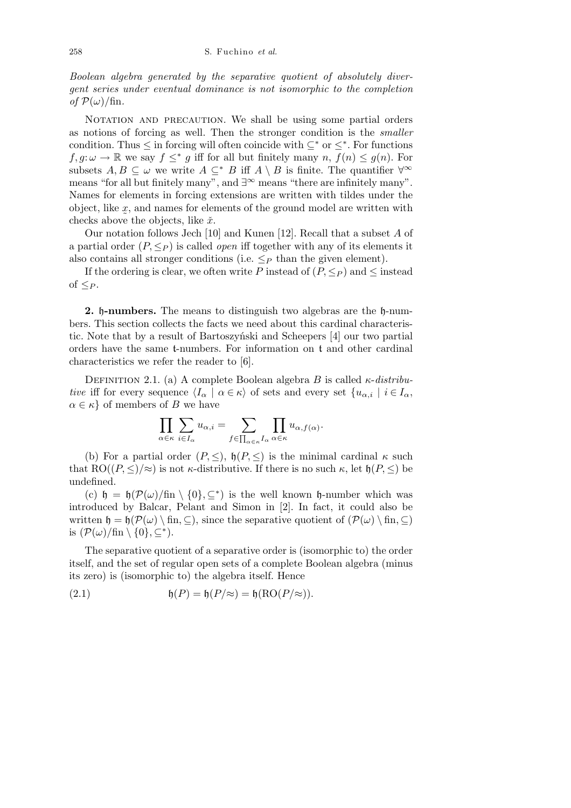*Boolean algebra generated by the separative quotient of absolutely divergent series under eventual dominance is not isomorphic to the completion*  $of$   $\mathcal{P}(\omega)/\text{fin}$ .

NOTATION AND PRECAUTION. We shall be using some partial orders as notions of forcing as well. Then the stronger condition is the *smaller* condition. Thus  $\leq$  in forcing will often coincide with  $\subseteq^*$  or  $\leq^*$ . For functions  $f, g: \omega \to \mathbb{R}$  we say  $f \leq^* g$  iff for all but finitely many  $n, f(n) \leq g(n)$ . For subsets  $A, B \subseteq \omega$  we write  $A \subseteq^* B$  iff  $A \setminus B$  is finite. The quantifier  $\forall^\infty$ means "for all but finitely many", and *∃<sup>∞</sup>* means "there are infinitely many". Names for elements in forcing extensions are written with tildes under the object, like *x*, and names for elements of the ground model are written with checks above the objects, like  $\check{x}$ .

Our notation follows Jech [10] and Kunen [12]. Recall that a subset *A* of a partial order  $(P, \leq_P)$  is called *open* iff together with any of its elements it also contains all stronger conditions (i.e.  $\leq_P$  than the given element).

If the ordering is clear, we often write *P* instead of  $(P, \leq_P)$  and  $\leq$  instead of  $\leq_P$ .

**2.** h**-numbers.** The means to distinguish two algebras are the h-numbers. This section collects the facts we need about this cardinal characteristic. Note that by a result of Bartoszyński and Scheepers [4] our two partial orders have the same t-numbers. For information on t and other cardinal characteristics we refer the reader to [6].

DEFINITION 2.1. (a) A complete Boolean algebra *B* is called  $\kappa$ -*distributive* iff for every sequence  $\langle I_\alpha \mid \alpha \in \kappa \rangle$  of sets and every set  $\{u_{\alpha,i} \mid i \in I_\alpha,$  $\alpha \in \kappa$  *a* of members of *B* we have

$$
\prod_{\alpha \in \kappa} \sum_{i \in I_{\alpha}} u_{\alpha,i} = \sum_{f \in \prod_{\alpha \in \kappa} I_{\alpha}} \prod_{\alpha \in \kappa} u_{\alpha,f(\alpha)}.
$$

(b) For a partial order  $(P, \leq)$ ,  $h(P, \leq)$  is the minimal cardinal  $\kappa$  such that  $RO((P, \leq)/\approx)$  is not *κ*-distributive. If there is no such  $\kappa$ , let  $\mathfrak{h}(P, \leq)$  be undefined.

(c)  $\mathfrak{h} = \mathfrak{h}(\mathcal{P}(\omega)/\text{fin} \setminus \{0\}, \subseteq^*)$  is the well known  $\mathfrak{h}$ -number which was introduced by Balcar, Pelant and Simon in [2]. In fact, it could also be written  $\mathfrak{h} = \mathfrak{h}(\mathcal{P}(\omega) \setminus \text{fin}, \subseteq)$ , since the separative quotient of  $(\mathcal{P}(\omega) \setminus \text{fin}, \subseteq)$ is  $(\mathcal{P}(\omega)/\text{fin}\setminus\{0\}, \subseteq^*)$ .

The separative quotient of a separative order is (isomorphic to) the order itself, and the set of regular open sets of a complete Boolean algebra (minus its zero) is (isomorphic to) the algebra itself. Hence

(2.1) 
$$
\mathfrak{h}(P) = \mathfrak{h}(P/\approx) = \mathfrak{h}(\text{RO}(P/\approx)).
$$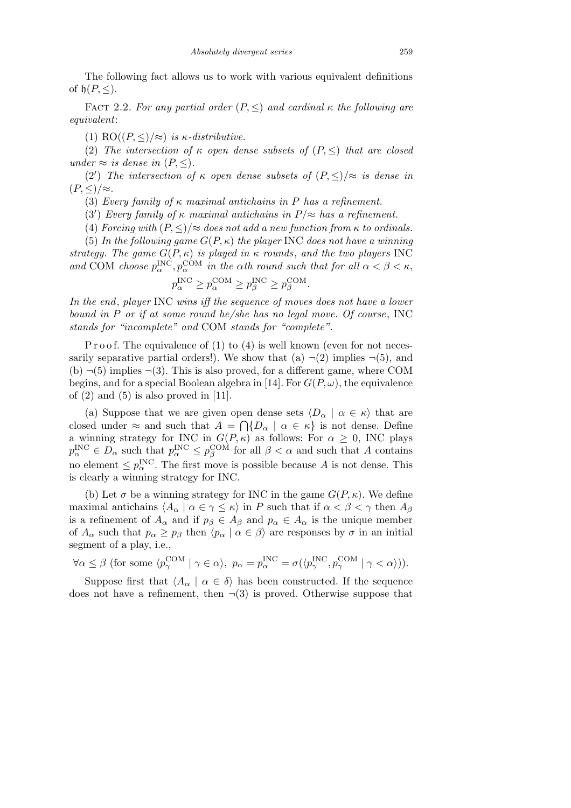The following fact allows us to work with various equivalent definitions of  $\mathfrak{h}(P, \leq)$ .

FACT 2.2. For any partial order  $(P, \leq)$  and cardinal  $\kappa$  the following are *equivalent*:

(1) RO $((P, \leq)/\approx)$  *is κ*-distributive.

(2) *The intersection of*  $\kappa$  *open dense subsets of*  $(P, \leq)$  *that are closed under*  $\approx$  *is dense in*  $(P, \leq)$ *.* 

(2<sup>'</sup>) *The intersection of*  $\kappa$  *open dense subsets of*  $(P, \leq)/\approx$  *is dense in*  $(P, \leq)/\approx$ *.* 

(3) *Every family of κ maximal antichains in P has a refinement.*

(3<sup>*'*</sup>) *Every family of*  $\kappa$  *maximal antichains in*  $P/\approx$  *has a refinement.* 

(4) *Forcing with*  $(P, \leq)/\approx$  *does not add a new function from*  $\kappa$  *to ordinals.* 

(5) *In the following game*  $G(P, \kappa)$  *the player* INC *does not have a winning strategy. The game*  $G(P, \kappa)$  *is played in*  $\kappa$  *rounds*, *and the two players* INC *and* COM *choose*  $p_{\alpha}^{\text{INC}}, p_{\alpha}^{\text{COM}}$  *in the*  $\alpha$ *th round such that for all*  $\alpha < \beta < \kappa$ ,

$$
p_{\alpha}^{\text{INC}} \ge p_{\alpha}^{\text{COM}} \ge p_{\beta}^{\text{INC}} \ge p_{\beta}^{\text{COM}}.
$$

*In the end*, *player* INC *wins iff the sequence of moves does not have a lower bound in P or if at some round he/she has no legal move. Of course*, INC *stands for "incomplete" and* COM *stands for "complete".*

P r o o f. The equivalence of  $(1)$  to  $(4)$  is well known (even for not necessarily separative partial orders!). We show that (a)  $\neg$ (2) implies  $\neg$ (5), and (b)  $\neg(5)$  implies  $\neg(3)$ . This is also proved, for a different game, where COM begins, and for a special Boolean algebra in [14]. For  $G(P, \omega)$ , the equivalence of  $(2)$  and  $(5)$  is also proved in [11].

(a) Suppose that we are given open dense sets  $\langle D_\alpha | \alpha \in \kappa \rangle$  that are closed under  $\approx$  and such that  $A = \bigcap \{D_{\alpha} \mid \alpha \in \kappa\}$  is not dense. Define a winning strategy for INC in  $G(P, \kappa)$  as follows: For  $\alpha \geq 0$ , INC plays  $p_{\alpha}^{\text{INC}} \in D_{\alpha}$  such that  $p_{\alpha}^{\text{INC}} \leq p_{\beta}^{\text{COM}}$  for all  $\beta < \alpha$  and such that *A* contains no element  $\leq p_{\alpha}^{\text{INC}}$ . The first move is possible because *A* is not dense. This is clearly a winning strategy for INC.

(b) Let  $\sigma$  be a winning strategy for INC in the game  $G(P, \kappa)$ . We define maximal antichains  $\langle A_\alpha | \alpha \in \gamma \leq \kappa \rangle$  in *P* such that if  $\alpha < \beta < \gamma$  then  $A_\beta$ is a refinement of  $A_{\alpha}$  and if  $p_{\beta} \in A_{\beta}$  and  $p_{\alpha} \in A_{\alpha}$  is the unique member of  $A_{\alpha}$  such that  $p_{\alpha} \geq p_{\beta}$  then  $\langle p_{\alpha} | \alpha \in \beta \rangle$  are responses by  $\sigma$  in an initial segment of a play, i.e.,

$$
\forall \alpha \le \beta \text{ (for some } \langle p_{\gamma}^{\text{COM}} | \gamma \in \alpha \rangle, \ p_{\alpha} = p_{\alpha}^{\text{INC}} = \sigma(\langle p_{\gamma}^{\text{INC}}, p_{\gamma}^{\text{COM}} | \gamma < \alpha \rangle)).
$$

Suppose first that  $\langle A_\alpha | \alpha \in \delta \rangle$  has been constructed. If the sequence does not have a refinement, then  $\neg(3)$  is proved. Otherwise suppose that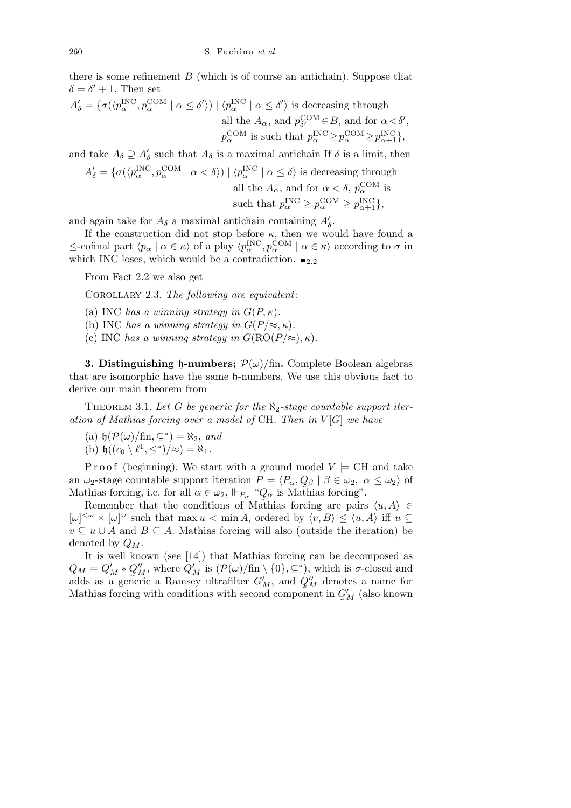there is some refinement  $B$  (which is of course an antichain). Suppose that  $\delta = \delta' + 1$ . Then set

$$
A'_{\delta} = \{ \sigma(\langle p_{\alpha}^{\text{INC}}, p_{\alpha}^{\text{COM}} \mid \alpha \le \delta' \rangle) \mid \langle p_{\alpha}^{\text{INC}} \mid \alpha \le \delta' \rangle \text{ is decreasing through} \text{all the } A_{\alpha}, \text{ and } p_{\delta'}^{\text{COM}} \in B, \text{ and for } \alpha < \delta', \newline p_{\alpha}^{\text{COM}} \text{ is such that } p_{\alpha}^{\text{INC}} \ge p_{\alpha}^{\text{COM}} \ge p_{\alpha+1}^{\text{INC}} \},
$$

and take  $A_{\delta} \supseteq A'_{\delta}$  such that  $A_{\delta}$  is a maximal antichain If  $\delta$  is a limit, then

$$
A'_{\delta} = \{ \sigma(\langle p_{\alpha}^{\text{INC}}, p_{\alpha}^{\text{COM}} \mid \alpha < \delta \rangle) \mid \langle p_{\alpha}^{\text{INC}} \mid \alpha \leq \delta \rangle \text{ is decreasing through}
$$
  
all the  $A_{\alpha}$ , and for  $\alpha < \delta$ ,  $p_{\alpha}^{\text{COM}}$  is  
such that  $p_{\alpha}^{\text{INC}} \geq p_{\alpha}^{\text{COM}} \geq p_{\alpha+1}^{\text{INC}} \},$ 

and again take for  $A_{\delta}$  a maximal antichain containing  $A'_{\delta}$ .

If the construction did not stop before  $\kappa$ , then we would have found a  $\le$ -cofinal part  $\langle p_\alpha | \alpha \in \kappa \rangle$  of a play  $\langle p_\alpha^{\text{INC}}, p_\alpha^{\text{COM}} | \alpha \in \kappa \rangle$  according to  $\sigma$  in which INC loses, which would be a contradiction.  $\blacksquare$ <sub>2.2</sub>

From Fact 2.2 we also get

Corollary 2.3. *The following are equivalent*:

(a) INC *has a winning strategy in*  $G(P, \kappa)$ .

- (b) INC *has a winning strategy in*  $G(P/\approx, \kappa)$ *.*
- (c) INC *has a winning strategy in*  $G(RO(P/\approx), \kappa)$ *.*

**3. Distinguishing**  $\phi$ **-numbers;**  $\mathcal{P}(\omega)/\text{fin}$ . Complete Boolean algebras that are isomorphic have the same h-numbers. We use this obvious fact to derive our main theorem from

Theorem 3.1. *Let G be generic for the ℵ*2*-stage countable support iteration of Mathias forcing over a model of* CH*. Then in V* [*G*] *we have*

- $(\mathbf{a}) \mathfrak{h}(\mathcal{P}(\omega)/\mathfrak{f}\mathfrak{m}, \subseteq^*) = \aleph_2$ , and
- (b)  $\mathfrak{h}((c_0 \setminus \ell^1, \leq^*)/\approx) = \aleph_1$ .

Proof (beginning). We start with a ground model  $V \models \text{CH}$  and take an  $\omega_2$ -stage countable support iteration  $P = \langle P_\alpha, Q_\beta | \beta \in \omega_2, \ \alpha \le \omega_2 \rangle$  of Mathias forcing, i.e. for all  $\alpha \in \omega_2$ ,  $\Vdash_{P_\alpha}$  " $Q_\alpha$  is Mathias forcing".

Remember that the conditions of Mathias forcing are pairs  $\langle u, A \rangle \in$  $[\omega]^{<\omega} \times [\omega]^{<\omega}$  such that max  $u \lt \min A$ , ordered by  $\langle v, B \rangle \leq \langle u, A \rangle$  iff  $u \subseteq$ *v* ⊆ *u*  $\cup$  *A* and *B* ⊆ *A*. Mathias forcing will also (outside the iteration) be denoted by *QM*.

It is well known (see [14]) that Mathias forcing can be decomposed as  $Q_M = Q_M' *$ ~<br>آ1  $Q''_M$ , where  $Q'_M$  is  $(\mathcal{P}(\omega)/\text{fin} \setminus \{0\}, \subseteq^*)$ , which is *σ*-closed and adds as a generic a Ramsey ultrafilter  $G'_M$ , and  $Q''_M$  denotes a name for Mathias forcing with conditions with second component in  $\tilde{\phantom{a}}$  $G'_M$  (also known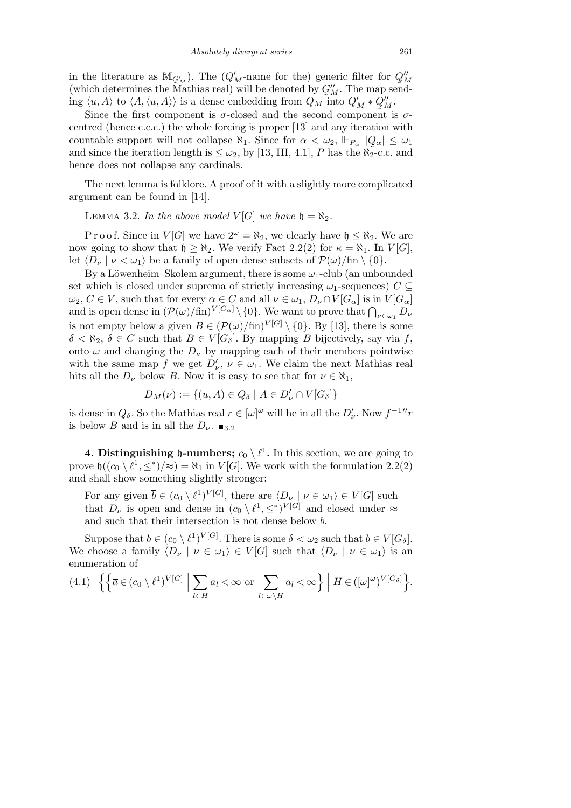in the literature as  $M_{\mathcal{G}'_M}$ ). The  $(Q'_M$ -name for the) generic filter for  $Q''_M$ (which determines the Mathias real) will be denoted by  $C_M''$ . The map send- $\lim_{M \to \infty} \langle u, A \rangle$  to  $\langle A, \langle u, A \rangle \rangle$  is a dense embedding from  $Q_M$  into  $Q_M' * Q_M''$ .

Since the first component is  $\sigma$ -closed and the second component is  $\sigma$ centred (hence c.c.c.) the whole forcing is proper [13] and any iteration with countable support will not collapse  $\aleph_1$ . Since for  $\alpha < \omega_2$ ,  $\Vdash_{P_\alpha} |Q_\alpha| \leq \omega_1$ and since the iteration length is  $\leq \omega_2$ , by [13, III, 4.1], *P* has the  $\aleph_2$ -c.c. and hence does not collapse any cardinals.

The next lemma is folklore. A proof of it with a slightly more complicated argument can be found in [14].

LEMMA 3.2. *In the above model*  $V[G]$  *we have*  $\mathfrak{h} = \aleph_2$ .

P r o o f. Since in *V* [*G*] we have  $2^{\omega} = \aleph_2$ , we clearly have  $\mathfrak{h} \leq \aleph_2$ . We are now going to show that  $\mathfrak{h} \geq \aleph_2$ . We verify Fact 2.2(2) for  $\kappa = \aleph_1$ . In  $V[G]$ , let  $\langle D_\nu | \nu < \omega_1 \rangle$  be a family of open dense subsets of  $\mathcal{P}(\omega)/\text{fin} \setminus \{0\}.$ 

By a Löwenheim–Skolem argument, there is some  $\omega_1$ -club (an unbounded set which is closed under suprema of strictly increasing  $\omega_1$ -sequences)  $C \subseteq$  $\omega_2, C \in V$ , such that for every  $\alpha \in C$  and all  $\nu \in \omega_1, D_\nu \cap V[G_\alpha]$  is in  $V[G_\alpha]$  $\omega_2, C \in V$ , such that for every  $\alpha \in C$  and all  $\nu \in \omega_1, D_{\nu} \cap V$  [ $G_{\alpha}$ ] is in  $V[G_{\alpha}]$  and is open dense in  $(\mathcal{P}(\omega)/\text{fin})^{V[G_{\alpha}]} \setminus \{0\}$ . We want to prove that  $\bigcap_{\nu \in \omega_1} D_{\nu}$ is not empty below a given  $B \in (\mathcal{P}(\omega)/\text{fin})^{V[G]} \setminus \{0\}$ . By [13], there is some  $\delta < \aleph_2$ ,  $\delta \in C$  such that  $B \in V[G_\delta]$ . By mapping *B* bijectively, say via *f*, onto  $\omega$  and changing the  $D_{\nu}$  by mapping each of their members pointwise with the same map *f* we get  $D'_{\nu}$ ,  $\nu \in \omega_1$ . We claim the next Mathias real hits all the  $D_{\nu}$  below *B*. Now it is easy to see that for  $\nu \in \aleph_1$ ,

$$
D_M(\nu) := \{(u, A) \in Q_\delta \mid A \in D'_{\nu} \cap V[G_\delta]\}
$$

is dense in  $Q_{\delta}$ . So the Mathias real  $r \in [\omega]^{\omega}$  will be in all the  $D'_{\nu}$ . Now  $f^{-1}$ <sup>*r*</sup> is below *B* and is in all the  $D_\nu$ .  $\blacksquare$ <sub>3.2</sub>

**4. Distinguishing h-numbers;**  $c_0 \setminus \ell^1$ . In this section, we are going to prove  $\mathfrak{h}((c_0 \setminus \ell^1, \leq^*)/\approx) = \aleph_1$  in  $V[G]$ . We work with the formulation 2.2(2) and shall show something slightly stronger:

For any given  $\overline{b} \in (c_0 \setminus \ell^1)^{V[G]}$ , there are  $\langle D_\nu | \nu \in \omega_1 \rangle \in V[G]$  such that  $D_{\nu}$  is open and dense in  $(c_0 \setminus \ell^1, \leq^*)^{V[G]}$  and closed under  $\approx$ and such that their intersection is not dense below  $\bar{b}$ .

Suppose that  $\overline{b} \in (c_0 \setminus \ell^1)^{V[G]}$ . There is some  $\delta < \omega_2$  such that  $\overline{b} \in V[G_\delta]$ . We choose a family  $\langle D_\nu | \nu \in \omega_1 \rangle \in V[G]$  such that  $\langle D_\nu | \nu \in \omega_1 \rangle$  is an enumeration of l, o  o

(4.1) 
$$
\left\{ \left\{ \overline{a} \in (c_0 \setminus \ell^1)^{V[G]} \; \middle| \; \sum_{l \in H} a_l < \infty \text{ or } \sum_{l \in \omega \setminus H} a_l < \infty \right\} \; \middle| \; H \in ([\omega]^\omega)^{V[G_\delta]} \right\}.
$$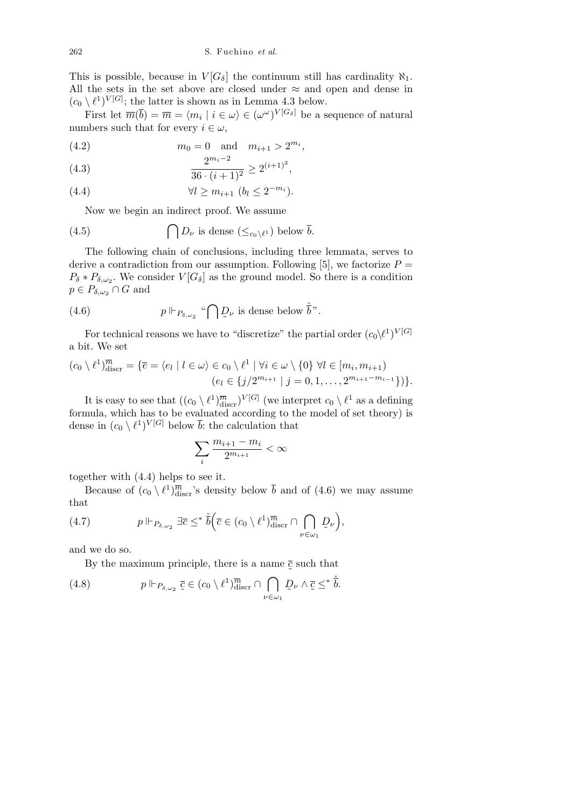This is possible, because in  $V[G_\delta]$  the continuum still has cardinality  $\aleph_1$ . All the sets in the set above are closed under *≈* and open and dense in  $(c_0 \setminus \ell^1)^{V[G]}$ ; the latter is shown as in Lemma 4.3 below.

First let  $\overline{m}(\overline{b}) = \overline{m} = \langle m_i \mid i \in \omega \rangle \in (\omega^{\omega})^{V[G_{\delta}]}$  be a sequence of natural numbers such that for every  $i \in \omega$ ,

(4.2) 
$$
m_0 = 0
$$
 and  $m_{i+1} > 2^{m_i}$ ,

(4.3) 
$$
\frac{2^{m_i - 2}}{36 \cdot (i+1)^2} \ge 2^{(i+1)^2},
$$

$$
(4.4) \t\t\t \forall l \ge m_{i+1} \ (b_l \le 2^{-m_i}).
$$

Now we begin an indirect proof. We assume

(4.5) 
$$
\bigcap D_{\nu} \text{ is dense } (\leq_{c_0 \setminus \ell^1}) \text{ below } \overline{b}.
$$

The following chain of conclusions, including three lemmata, serves to derive a contradiction from our assumption. Following [5], we factorize  $P =$  $P_{\delta} * P_{\delta,\omega_2}$ . We consider  $V[G_{\delta}]$  as the ground model. So there is a condition  $p \in P_{\delta,\omega_2} \cap G$  and

(4.6) 
$$
p \Vdash_{P_{\delta,\omega_2}} \text{``}\bigcap \underline{D}_{\nu}
$$
 is dense below  $\check{\bar{b}}$ ".

For technical reasons we have to "discretize" the partial order  $(c_0 \backslash \ell^1)^{V[G]}$ a bit. We set

$$
(c_0 \setminus \ell^1)^{\overline{m}}_{\text{discr}} = \{\overline{e} = \langle e_l \mid l \in \omega \rangle \in c_0 \setminus \ell^1 \mid \forall i \in \omega \setminus \{0\} \ \forall l \in [m_i, m_{i+1}) \\ (e_l \in \{j/2^{m_{i+1}} \mid j = 0, 1, \ldots, 2^{m_{i+1} - m_{i-1}}\})\}.
$$

It is easy to see that  $((c_0 \setminus \ell^1)^{\overline{m}}_{\text{discr}})^{V[G]}$  (we interpret  $c_0 \setminus \ell^1$  as a defining formula, which has to be evaluated according to the model of set theory) is dense in  $(c_0 \setminus \ell^1)^{V[G]}$  below  $\overline{b}$ : the calculation that

$$
\sum_i \frac{m_{i+1}-m_i}{2^{m_{i+1}}}<\infty
$$

together with (4.4) helps to see it.

Because of  $(c_0 \setminus \ell^1)_{\text{discr}}^{\overline{m}}$ 's density below  $\overline{b}$  and of (4.6) we may assume that  $\overline{a}$  $\mathbf{r}$ 

(4.7) 
$$
p \Vdash_{P_{\delta,\omega_2}} \exists \overline{c} \leq^* \check{b} \Big( \overline{c} \in (c_0 \setminus \ell^1)_{\text{discr}}^{\overline{m}} \cap \bigcap_{\nu \in \omega_1} D_{\nu} \Big),
$$

and we do so.

By the maximum principle, there is a name  $\tilde{\phantom{a}}$ *c* such that

(4.8) 
$$
p \Vdash_{P_{\delta,\omega_2}} \overline{c} \in (c_0 \setminus \ell^1)^{\overline{m}}_{\text{discr}} \cap \bigcap_{\nu \in \omega_1} D_{\nu} \wedge \overline{c} \leq^* \overline{b}.
$$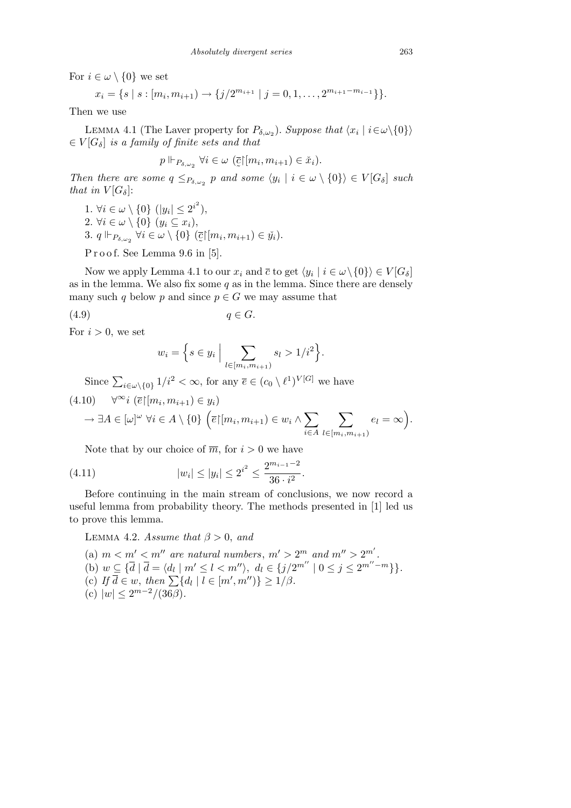For  $i \in \omega \setminus \{0\}$  we set

$$
x_i = \{s \mid s : [m_i, m_{i+1}) \to \{j/2^{m_{i+1}} \mid j = 0, 1, \ldots, 2^{m_{i+1} - m_{i-1}}\}.
$$

Then we use

LEMMA 4.1 (The Laver property for  $P_{\delta,\omega_2}$ ). Suppose that  $\langle x_i | i \in \omega \setminus \{0\} \rangle$  $\in V[G_\delta]$  *is a family of finite sets and that* 

$$
p \Vdash_{P_{\delta,\omega_2}} \forall i \in \omega \ (\overline{\mathbf{C}} \vert [m_i, m_{i+1}) \in \check{x}_i).
$$

 $\tilde{\phantom{a}}$ *Then there are some*  $q \leq_{P_{\delta,\omega_2}} p$  *and some*  $\langle y_i | i \in \omega \setminus \{0\} \rangle \in V[G_{\delta}]$  *such that in*  $V[G_{\delta}]$ :

1*.*  $\forall i \in \omega \setminus \{0\} \ (|y_i| \leq 2^{i^2}),$ 2*.*  $\forall i \in \omega \setminus \{0\} \ (y_i \subseteq x_i),$ 3.  $q \Vdash_{P_{\delta,\omega_2}} \forall i \in \omega \setminus \{0\}$  (  $\tilde{\phantom{a}}$  $\overline{c}$ <sup>[</sup> $(m_i, m_{i+1}) \in \check{y}_i$  $).$ 

P r o o f. See Lemma 9.6 in [5].

Now we apply Lemma 4.1 to our  $x_i$  and  $\bar{c}$  to get  $\langle y_i | i \in \omega \setminus \{0\} \rangle \in V[G_{\delta}]$ as in the lemma. We also fix some *q* as in the lemma. Since there are densely many such *q* below *p* and since  $p \in G$  we may assume that

$$
(4.9) \t\t q \in G.
$$

For  $i > 0$ , we set

$$
w_i = \Big\{ s \in y_i \; \Big| \sum_{l \in [m_i, m_{i+1})} s_l > 1/i^2 \Big\}.
$$

Since  $\sum_{i \in \omega \setminus \{0\}} 1/i^2 < \infty$ , for any  $\overline{e} \in (c_0 \setminus \ell^1)^{V[G]}$  we have

$$
(4.10) \quad \forall^{\infty} i \ (\overline{e} \vert [m_i, m_{i+1}) \in y_i)
$$

$$
\rightarrow \exists A \in [\omega]^{\omega} \ \forall i \in A \setminus \{0\} \ \Big( \overline{e} \vert [m_i, m_{i+1}) \in w_i \wedge \sum_{i \in A} \sum_{l \in [m_i, m_{i+1})} e_l = \infty \Big).
$$

Note that by our choice of  $\overline{m}$ , for  $i > 0$  we have

(4.11) 
$$
|w_i| \le |y_i| \le 2^{i^2} \le \frac{2^{m_{i-1}-2}}{36 \cdot i^2}.
$$

Before continuing in the main stream of conclusions, we now record a useful lemma from probability theory. The methods presented in [1] led us to prove this lemma.

LEMMA 4.2. *Assume that*  $\beta > 0$ , and

(a)  $m < m' < m''$  are natural numbers,  $m' > 2^m$  and  $m'' > 2^{m'}$ . (b)  $w \subseteq {\overline{d} \mid \overline{d} = \langle d_l \mid m' \leq l < m'' \rangle}, d_l \in \{j/2^{m''} \mid 0 \leq j \leq 2^{m''-m}\}\}.$ (c)  $\pi \leq \frac{1}{d} \pi \leq \frac{1}{d} \pi \leq \frac{1}{d} \pi \leq \frac{1}{d} \pi \leq \frac{1}{d} \pi \leq \frac{1}{d} \pi$ <br>
(c)  $\pi \leq \frac{1}{d} \pi \leq \frac{1}{d} \pi$   $\pi \leq \frac{1}{d} \pi$   $\pi \leq \frac{1}{d} \pi$ (c)  $|w| \leq 2^{m-2}/(36\beta)$ .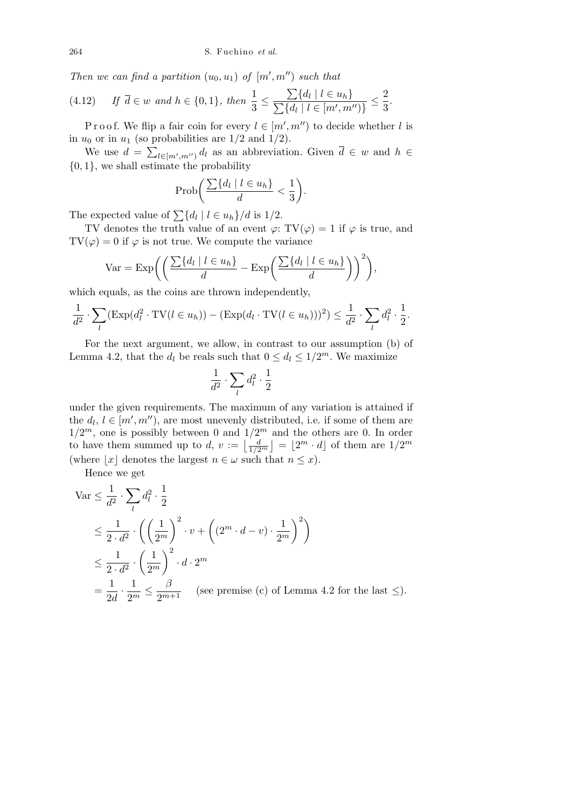*Then we can find a partition*  $(u_0, u_1)$  *of*  $[m', m'')$  *such that* 

(4.12) If 
$$
\overline{d} \in w
$$
 and  $h \in \{0, 1\}$ , then  $\frac{1}{3} \le \frac{\sum \{d_l \mid l \in u_h\}}{\sum \{d_l \mid l \in [m', m'')\}} \le \frac{2}{3}$ .

P r o o f. We flip a fair coin for every  $l \in [m', m'')$  to decide whether *l* is in  $u_0$  or in  $u_1$  (so probabilities are  $1/2$  and  $1/2$ ).

We use  $d = \sum_{l \in [m', m'']} d_l$  as an abbreviation. Given  $\overline{d} \in w$  and  $h \in$ *{*0*,* 1*}*, we shall estimate the probability

$$
\operatorname{Prob}\bigg(\frac{\sum\{d_l\mid l\in u_h\}}{d}<\frac{1}{3}\bigg).
$$

The expected value of  $\sum \{d_l \mid l \in u_h\}/d$  is 1/2.

TV denotes the truth value of an event  $\varphi$ : TV( $\varphi$ ) = 1 if  $\varphi$  is true, and  $TV(\varphi) = 0$  if  $\varphi$  is not true. We compute the variance

$$
\text{Var} = \text{Exp}\bigg(\bigg(\frac{\sum \{d_l \mid l \in u_h\}}{d} - \text{Exp}\bigg(\frac{\sum \{d_l \mid l \in u_h\}}{d}\bigg)\bigg)^2\bigg),\,
$$

which equals, as the coins are thrown independently,

$$
\frac{1}{d^2} \cdot \sum_{l} (\operatorname{Exp}(d_l^2 \cdot \mathrm{TV}(l \in u_h)) - (\operatorname{Exp}(d_l \cdot \mathrm{TV}(l \in u_h)))^2) \le \frac{1}{d^2} \cdot \sum_{l} d_l^2 \cdot \frac{1}{2}.
$$

For the next argument, we allow, in contrast to our assumption (b) of Lemma 4.2, that the  $d_l$  be reals such that  $0 \leq d_l \leq 1/2^m$ . We maximize

$$
\frac{1}{d^2} \cdot \sum_l d^2_l \cdot \frac{1}{2}
$$

under the given requirements. The maximum of any variation is attained if the  $d_l, l \in [m', m'')$ , are most unevenly distributed, i.e. if some of them are  $1/2^m$ , one is possibly between 0 and  $1/2^m$  and the others are 0. In order to have them summed up to *d*,  $v := \left\lfloor \frac{d}{1/2^m} \right\rfloor = \left\lfloor 2^m \cdot d \right\rfloor$  of them are  $1/2^m$  $\frac{z}{1}$  $= |2^m \cdot d|$  of them are  $1/2^m$ (where  $|x|$  denotes the largest  $n \in \omega$  such that  $n \leq x$ ).

Hence we get

$$
\begin{split} \text{Var} &\leq \frac{1}{d^2} \cdot \sum_{l} d_l^2 \cdot \frac{1}{2} \\ &\leq \frac{1}{2 \cdot d^2} \cdot \left( \left( \frac{1}{2^m} \right)^2 \cdot v + \left( (2^m \cdot d - v) \cdot \frac{1}{2^m} \right)^2 \right) \\ &\leq \frac{1}{2 \cdot d^2} \cdot \left( \frac{1}{2^m} \right)^2 \cdot d \cdot 2^m \\ &= \frac{1}{2d} \cdot \frac{1}{2^m} \leq \frac{\beta}{2^{m+1}} \quad \text{(see premise (c) of Lemma 4.2 for the last } \leq \text{).} \end{split}
$$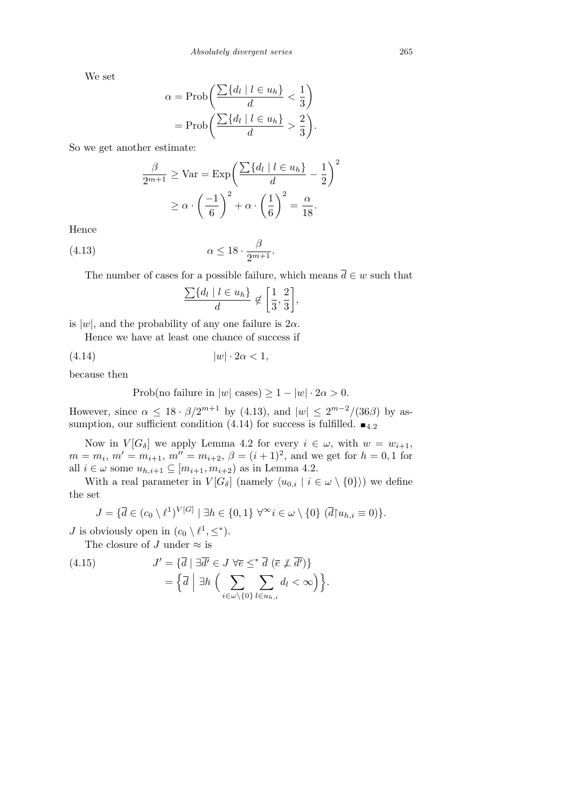We set

$$
\alpha = \text{Prob}\left(\frac{\sum \{d_l \mid l \in u_h\}}{d} < \frac{1}{3}\right) = \text{Prob}\left(\frac{\sum \{d_l \mid l \in u_h\}}{d} > \frac{2}{3}\right).
$$

So we get another estimate:

$$
\frac{\beta}{2^{m+1}} \geq \text{Var} = \text{Exp}\left(\frac{\sum \{d_l \mid l \in u_h\}}{d} - \frac{1}{2}\right)^2
$$

$$
\geq \alpha \cdot \left(\frac{-1}{6}\right)^2 + \alpha \cdot \left(\frac{1}{6}\right)^2 = \frac{\alpha}{18}.
$$

Hence

(4.13) 
$$
\alpha \le 18 \cdot \frac{\beta}{2^{m+1}}.
$$

The number of cases for a possible failure, which means  $\overline{d} \in w$  such that

$$
\frac{\sum \{d_l \mid l \in u_h\}}{d} \not\in \left[\frac{1}{3}, \frac{2}{3}\right],
$$

is  $|w|$ , and the probability of any one failure is  $2\alpha$ .

Hence we have at least one chance of success if

$$
(4.14) \t\t |w| \cdot 2\alpha < 1,
$$

because then

$$
Prob(no failure in |w| cases) \ge 1 - |w| \cdot 2\alpha > 0.
$$

However, since  $\alpha \leq 18 \cdot \beta / 2^{m+1}$  by (4.13), and  $|w| \leq 2^{m-2} / (36 \beta)$  by assumption, our sufficient condition (4.14) for success is fulfilled.  $\blacksquare$ <sub>4.2</sub>

Now in  $V[G_\delta]$  we apply Lemma 4.2 for every  $i \in \omega$ , with  $w = w_{i+1}$ ,  $m = m_i$ ,  $m' = m_{i+1}$ ,  $m'' = m_{i+2}$ ,  $\beta = (i+1)^2$ , and we get for  $h = 0, 1$  for all *i* ∈ *ω* some  $u_{h,i+1}$  ⊆ [ $m_{i+1}, m_{i+2}$ ) as in Lemma 4.2.

With a real parameter in  $V[G_\delta]$  (namely  $\langle u_{0,i} | i \in \omega \setminus \{0\} \rangle$ ) we define the set

$$
J = \{ \overline{d} \in (c_0 \setminus \ell^1)^{V[G]} \mid \exists h \in \{0,1\} \; \forall^\infty i \in \omega \setminus \{0\} \; (\overline{d} \mid u_{h,i} \equiv 0) \}.
$$

*J* is obviously open in  $(c_0 \setminus \ell^1, \leq^*)$ .

The closure of *J* under  $\approx$  is

(4.15) 
$$
J' = \{ \overline{d} \mid \exists \overline{d'} \in J \,\forall \overline{e} \leq^* \overline{d} \,\left( \overline{e} \not\perp \overline{d'} \right) \} = \{ \overline{d} \mid \exists h \,\Big( \sum_{i \in \omega \setminus \{0\}} \sum_{l \in u_{h,i}} d_l < \infty \Big) \}.
$$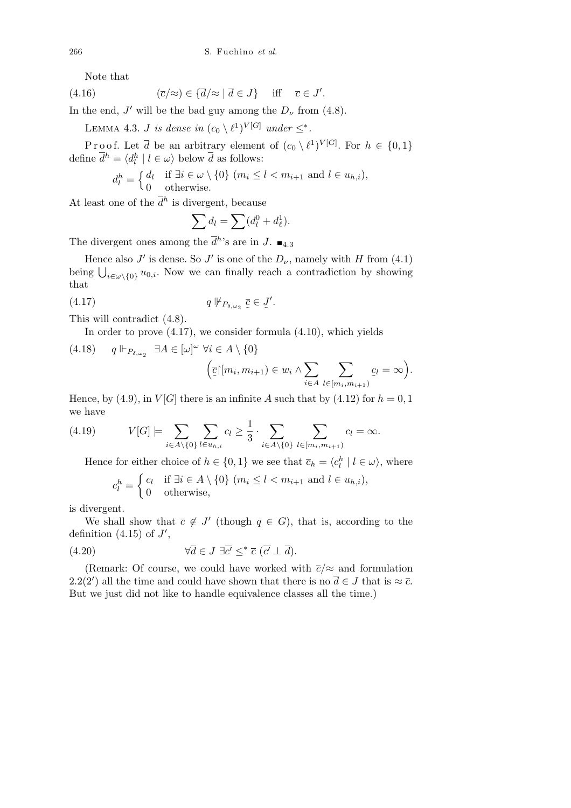Note that

(4.16) 
$$
(\overline{c}/\approx) \in {\overline{d}}/\approx |\overline{d} \in J \} \quad \text{iff} \quad \overline{c} \in J'.
$$

In the end,  $J'$  will be the bad guy among the  $D_{\nu}$  from (4.8).

LEMMA 4.3. *J is dense in*  $(c_0 \setminus \ell^1)^{V[G]}$  *under*  $\leq^*$ *.* 

Proof. Let  $\overline{d}$  be an arbitrary element of  $(c_0 \setminus \ell^1)^{V[G]}$ . For  $h \in \{0,1\}$ define  $\overline{d}^h = \langle d_l^h | l \in \omega \rangle$  below  $\overline{d}$  as follows:

$$
d_l^h = \begin{cases} d_l & \text{if } \exists i \in \omega \setminus \{0\} \ (m_i \leq l < m_{i+1} \text{ and } l \in u_{h,i}), \\ 0 & \text{otherwise.} \end{cases}
$$

At least one of the  $\bar{d}^h$  is divergent, because

$$
\sum d_l = \sum (d_l^0 + d_\ell^1).
$$

The divergent ones among the  $\bar{d}^h$ 's are in *J*.  $\blacksquare$ <sub>4.3</sub>

Hence also *J'* is dense. So *J'* is one of the  $D_{\nu}$ , namely with *H* from (4.1) being  $\bigcup_{i\in\omega\setminus\{0\}} u_{0,i}$ . Now we can finally reach a contradiction by showing that

$$
(4.17) \t q \not\Vdash_{P_{\delta,\omega_2}} \bar{c} \in J'.
$$

This will contradict (4.8).

In order to prove (4.17), we consider formula (4.10), which yields

(4.18) 
$$
q \Vdash_{P_{\delta,\omega_2}} \exists A \in [\omega]^\omega \ \forall i \in A \setminus \{0\}
$$
  

$$
(\overline{\zeta} \vert [m_i, m_{i+1}) \in w_i \wedge \sum_{i \in A} \sum_{l \in [m_i, m_{i+1})} \zeta_l = \infty)
$$

*.*

Hence, by (4.9), in  $V[G]$  there is an infinite A such that by (4.12) for  $h = 0, 1$ we have

(4.19) 
$$
V[G] \models \sum_{i \in A \setminus \{0\}} \sum_{l \in u_{h,i}} c_l \ge \frac{1}{3} \cdot \sum_{i \in A \setminus \{0\}} \sum_{l \in [m_i, m_{i+1})} c_l = \infty.
$$

Hence for either choice of  $h \in \{0, 1\}$  we see that  $\overline{c}_h = \langle c_l^h | l \in \omega \rangle$ , where

$$
c_l^h = \begin{cases} c_l & \text{if } \exists i \in A \setminus \{0\} \ (m_i \le l < m_{i+1} \text{ and } l \in u_{h,i}), \\ 0 & \text{otherwise,} \end{cases}
$$

is divergent.

We shall show that  $\bar{c} \notin J'$  (though  $q \in G$ ), that is, according to the definition  $(4.15)$  of  $J'$ ,

(4.20) 
$$
\forall \overline{d} \in J \; \exists \overline{c'} \leq^* \overline{c} \; (\overline{c'} \perp \overline{d}).
$$

(Remark: Of course, we could have worked with  $\overline{c}/\approx$  and formulation 2.2(2<sup>'</sup>) all the time and could have shown that there is no  $\overline{d} \in J$  that is  $\approx \overline{c}$ . But we just did not like to handle equivalence classes all the time.)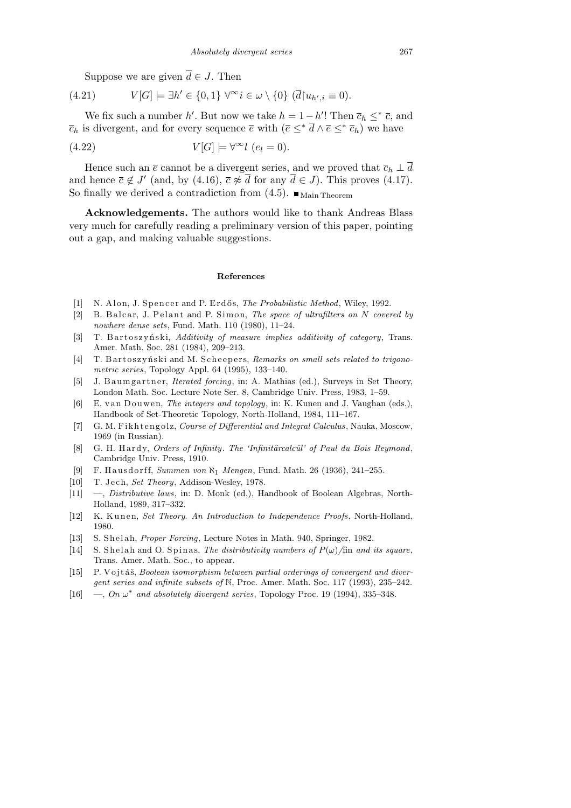Suppose we are given  $\overline{d} \in J$ . Then

$$
(4.21) \tV[G] \models \exists h' \in \{0,1\} \ \forall^{\infty} i \in \omega \setminus \{0\} \ (\overline{d} \upharpoonright u_{h',i} \equiv 0).
$$

We fix such a number *h'*. But now we take  $h = 1 - h'$ ! Then  $\bar{c}_h \leq^* \bar{c}$ , and  $\overline{c}_h$  is divergent, and for every sequence  $\overline{e}$  with  $(\overline{e} \leq^* \overline{d} \wedge \overline{e} \leq^* \overline{c}_h)$  we have

(4.22) 
$$
V[G] \models \forall^{\infty} l \ (e_l = 0).
$$

Hence such an  $\bar{e}$  cannot be a divergent series, and we proved that  $\bar{c}_h \perp \bar{d}$ and hence  $\bar{c} \notin J'$  (and, by (4.16),  $\bar{c} \not\approx \bar{d}$  for any  $\bar{d} \in J$ ). This proves (4.17). So finally we derived a contradiction from  $(4.5)$ .  $\blacksquare$  Main Theorem

**Acknowledgements.** The authors would like to thank Andreas Blass very much for carefully reading a preliminary version of this paper, pointing out a gap, and making valuable suggestions.

## **References**

- [1] N. Alon, J. Spencer and P. Erdős, *The Probabilistic Method*, Wiley, 1992.
- [2] B. Balcar, J. Pelant and P. Simon, *The space of ultrafilters on N covered by nowhere dense sets*, Fund. Math. 110 (1980), 11–24.
- [3] T. B art oszyński, *Additivity of measure implies additivity of category*, Trans. Amer. Math. Soc. 281 (1984), 209–213.
- [4] T. B artoszyński and M. Scheepers, *Remarks on small sets related to trigonometric series*, Topology Appl. 64 (1995), 133–140.
- [5] J. B aumgartner, *Iterated forcing*, in: A. Mathias (ed.), Surveys in Set Theory, London Math. Soc. Lecture Note Ser. 8, Cambridge Univ. Press, 1983, 1–59.
- [6] E. van Douwen, *The integers and topology*, in: K. Kunen and J. Vaughan (eds.), Handbook of Set-Theoretic Topology, North-Holland, 1984, 111–167.
- [7] G. M. Fikhtengolz, *Course of Differential and Integral Calculus*, Nauka, Moscow, 1969 (in Russian).
- [8] G. H. Hardy, *Orders of Infinity*. *The 'Infinitärcalcül' of Paul du Bois Reymond*, Cambridge Univ. Press, 1910.
- [9] F. Hausdorff, *Summen von*  $\aleph_1$  *Mengen*, Fund. Math. 26 (1936), 241–255.
- [10] T. Jech, *Set Theory*, Addison-Wesley, 1978.
- [11] —, *Distributive laws*, in: D. Monk (ed.), Handbook of Boolean Algebras, North-Holland, 1989, 317–332.
- [12] K. Kunen, *Set Theory. An Introduction to Independence Proofs*, North-Holland, 1980.
- [13] S. Shelah, *Proper Forcing*, Lecture Notes in Math. 940, Springer, 1982.
- [14] S. Shelah and O. Spinas, *The distributivity numbers of*  $P(\omega)$ /fin *and its square*, Trans. Amer. Math. Soc., to appear.
- [15] P. Vojtáš, *Boolean isomorphism between partial orderings of convergent and divergent series and infinite subsets of* N, Proc. Amer. Math. Soc. 117 (1993), 235–242.
- [16]  $-$ , *On*  $\omega^*$  *and absolutely divergent series*, Topology Proc. 19 (1994), 335-348.